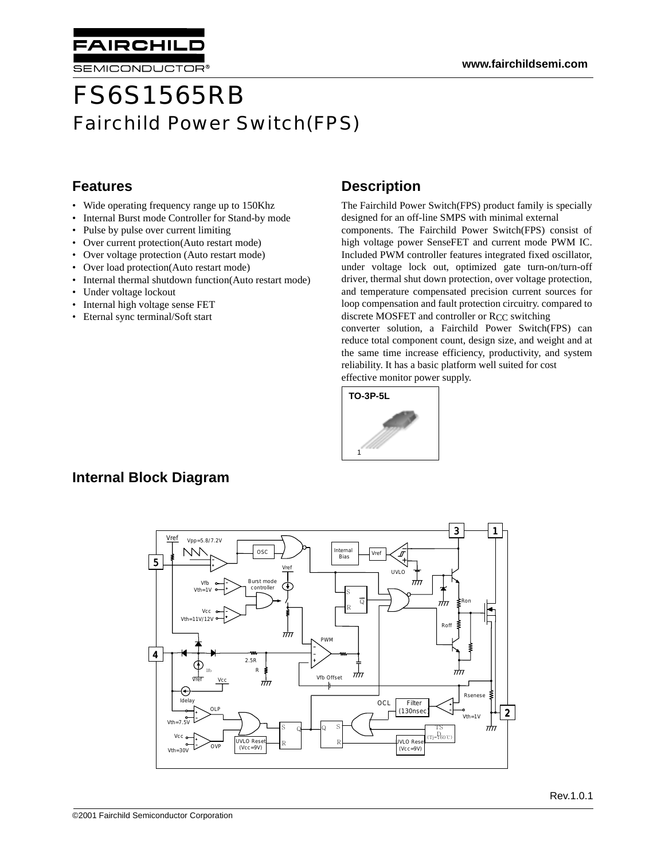

# FS6S1565RB Fairchild Power Switch(FPS)

#### **Features**

- Wide operating frequency range up to 150Khz
- Internal Burst mode Controller for Stand-by mode
- Pulse by pulse over current limiting

**AIRCHIL** 

SEMICONDUCTOR®

- Over current protection(Auto restart mode)
- Over voltage protection (Auto restart mode)
- Over load protection(Auto restart mode)
- Internal thermal shutdown function(Auto restart mode)
- Under voltage lockout
- Internal high voltage sense FET
- Eternal sync terminal/Soft start

#### **Description**

The Fairchild Power Switch(FPS) product family is specially designed for an off-line SMPS with minimal external components. The Fairchild Power Switch(FPS) consist of high voltage power SenseFET and current mode PWM IC. Included PWM controller features integrated fixed oscillator, under voltage lock out, optimized gate turn-on/turn-off driver, thermal shut down protection, over voltage protection, and temperature compensated precision current sources for loop compensation and fault protection circuitry. compared to discrete MOSFET and controller or RCC switching

converter solution, a Fairchild Power Switch(FPS) can reduce total component count, design size, and weight and at the same time increase efficiency, productivity, and system reliability. It has a basic platform well suited for cost effective monitor power supply.



### **Internal Block Diagram**

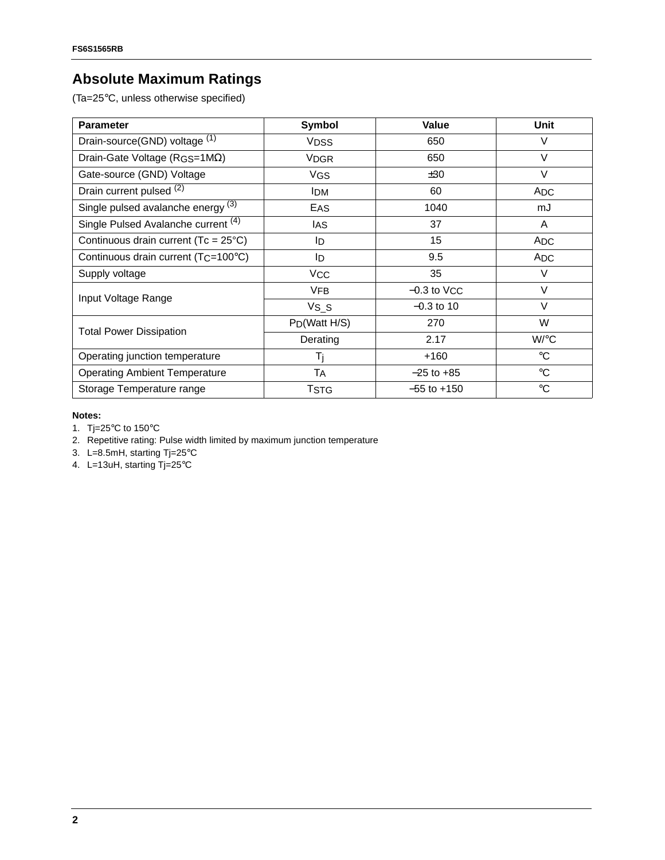## **Absolute Maximum Ratings**

(Ta=25°C, unless otherwise specified)

| <b>Parameter</b>                                 | <b>Symbol</b>             | Value              | Unit              |
|--------------------------------------------------|---------------------------|--------------------|-------------------|
| Drain-source(GND) voltage (1)                    | <b>VDSS</b>               | 650                | V                 |
| Drain-Gate Voltage ( $RGS=1M\Omega$ )            | <b>VDGR</b>               | 650                | $\vee$            |
| Gate-source (GND) Voltage                        | VGS                       | ±30                | $\vee$            |
| Drain current pulsed (2)                         | <b>IDM</b>                | 60                 | ADC               |
| Single pulsed avalanche energy (3)               | EAS                       | 1040               | mJ                |
| Single Pulsed Avalanche current (4)              | IAS                       | 37                 | $\overline{A}$    |
| Continuous drain current (Tc = 25°C)             | ID                        | 15                 | ADC               |
| Continuous drain current (T <sub>C</sub> =100°C) | ID                        | 9.5                | <b>ADC</b>        |
| Supply voltage                                   | <b>VCC</b>                | 35                 | V                 |
| Input Voltage Range                              | <b>VFB</b>                | $-0.3$ to $V_{CC}$ | $\vee$            |
|                                                  | $VS_S$                    | $-0.3$ to 10       | V                 |
| <b>Total Power Dissipation</b>                   | P <sub>D</sub> (Watt H/S) | 270                | W                 |
|                                                  | Derating                  | 2.17               | W/°C              |
| Operating junction temperature                   | Ti                        | $+160$             | $^{\circ}{\rm C}$ |
| <b>Operating Ambient Temperature</b>             | <b>TA</b>                 | $-25$ to $+85$     | $^{\circ}{\rm C}$ |
| Storage Temperature range                        | Tstg                      | $-55$ to $+150$    | $\rm ^{\circ}C$   |

#### **Notes:**

- 1. Tj=25°C to 150°C
- 2. Repetitive rating: Pulse width limited by maximum junction temperature
- 3. L=8.5mH, starting Tj=25°C
- 4. L=13uH, starting Tj=25°C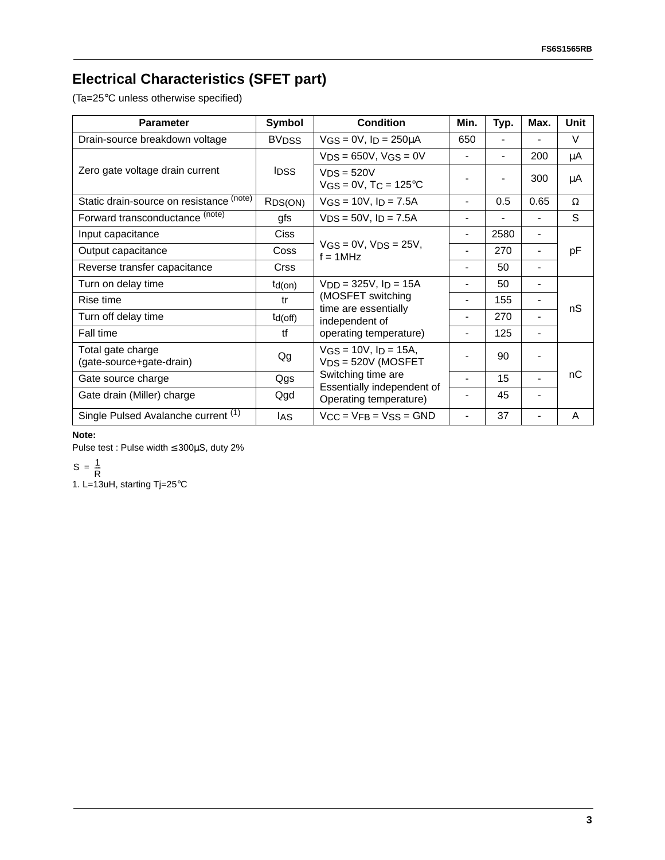# **Electrical Characteristics (SFET part)**

(Ta=25°C unless otherwise specified)

| <b>Parameter</b>                              | Symbol                  | <b>Condition</b>                                                         | Min.           | Typ.           | Max.                     | Unit |
|-----------------------------------------------|-------------------------|--------------------------------------------------------------------------|----------------|----------------|--------------------------|------|
| Drain-source breakdown voltage                | <b>BV<sub>DSS</sub></b> | $VGS = 0V$ , $I_D = 250 \mu A$                                           | 650            |                |                          | V    |
| Zero gate voltage drain current               | <b>IDSS</b>             | $VDS = 650V$ , $VGS = 0V$                                                | $\blacksquare$ | $\overline{a}$ | 200                      | μA   |
|                                               |                         | $VDS = 520V$<br>$VGS = 0V$ , T $C = 125^{\circ}C$                        |                |                | 300                      | μA   |
| Static drain-source on resistance (note)      | R <sub>DS</sub> (ON)    | $VGS = 10V$ , $I_D = 7.5A$                                               |                | 0.5            | 0.65                     | Ω    |
| Forward transconductance (note)               | gfs                     | $VDS = 50V$ , $ID = 7.5A$                                                |                |                |                          | S    |
| Input capacitance                             | Ciss                    |                                                                          |                | 2580           |                          |      |
| Output capacitance                            | Coss                    | $VGS = 0V$ , $VDS = 25V$ ,<br>$f = 1$ MHz                                |                | 270            |                          | pF   |
| Reverse transfer capacitance                  | <b>Crss</b>             |                                                                          |                | 50             |                          |      |
| Turn on delay time                            | $td($ on $)$            | $VDD = 325V$ , $ID = 15A$                                                |                | 50             |                          |      |
| Rise time                                     | tr                      | (MOSFET switching<br>time are essentially<br>independent of              | $\blacksquare$ | 155            |                          | nS   |
| Turn off delay time                           | $td($ off $)$           |                                                                          | $\blacksquare$ | 270            | $\overline{\phantom{a}}$ |      |
| Fall time                                     | tf                      | operating temperature)                                                   | $\blacksquare$ | 125            | $\overline{\phantom{a}}$ |      |
| Total gate charge<br>(gate-source+gate-drain) | Qg                      | $VGS = 10V$ , $ID = 15A$ ,<br>$VDS = 520V$ (MOSFET<br>Switching time are |                | 90             |                          |      |
| Gate source charge                            | Qgs                     |                                                                          |                | 15             |                          | пC   |
| Gate drain (Miller) charge                    | Qgd                     | Essentially independent of<br>Operating temperature)                     |                | 45             |                          |      |
| Single Pulsed Avalanche current (1)           | IAS                     | $V_{CC}$ = $V_{FB}$ = $V_{SS}$ = GND                                     | $\blacksquare$ | 37             |                          | A    |

#### **Note:**

Pulse test : Pulse width ≤ 300µS, duty 2%

 $S = \frac{1}{R}$ 

1. L=13uH, starting Tj=25°C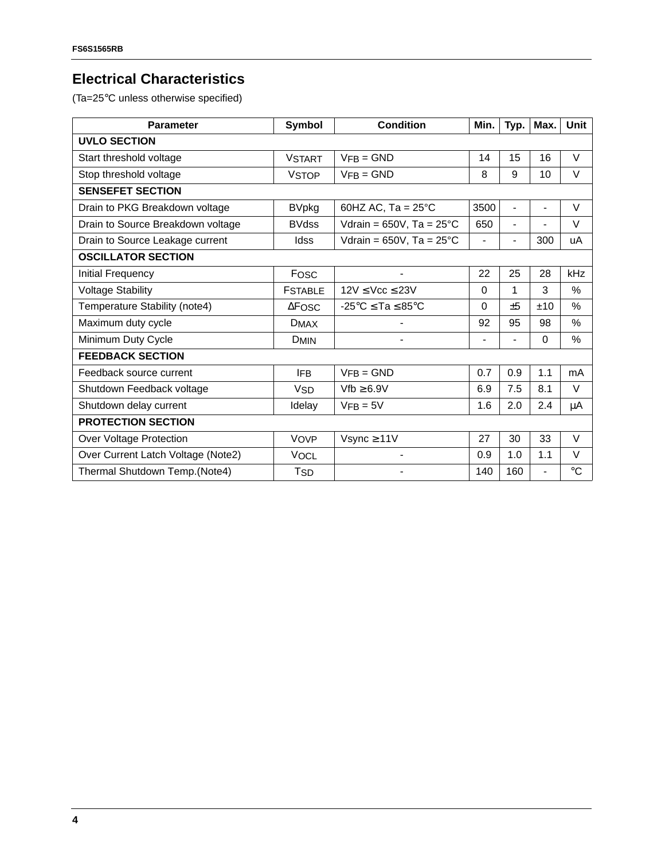## **Electrical Characteristics**

(Ta=25°C unless otherwise specified)

| <b>Parameter</b>                   | Symbol                | <b>Condition</b>                               | Min.                     | Typ.           | Max.                     | Unit            |  |  |
|------------------------------------|-----------------------|------------------------------------------------|--------------------------|----------------|--------------------------|-----------------|--|--|
| <b>UVLO SECTION</b>                |                       |                                                |                          |                |                          |                 |  |  |
| Start threshold voltage            | <b>VSTART</b>         | $VFB = GND$                                    | 14                       | 15             | 16                       | $\vee$          |  |  |
| Stop threshold voltage             | <b>VSTOP</b>          | $VFB = GND$                                    | 8                        | 9              | 10                       | $\vee$          |  |  |
| <b>SENSEFET SECTION</b>            |                       |                                                |                          |                |                          |                 |  |  |
| Drain to PKG Breakdown voltage     | <b>BVpkg</b>          | 60HZ AC, Ta = $25^{\circ}$ C                   | 3500                     | $\blacksquare$ | $\blacksquare$           | V               |  |  |
| Drain to Source Breakdown voltage  | <b>BVdss</b>          | Vdrain = $650V$ , Ta = $25^{\circ}$ C          | 650                      | $\frac{1}{2}$  |                          | $\vee$          |  |  |
| Drain to Source Leakage current    | Idss                  | Vdrain = $650V$ , Ta = $25^{\circ}C$           | $\overline{\phantom{a}}$ | $\overline{a}$ | 300                      | uA              |  |  |
| <b>OSCILLATOR SECTION</b>          |                       |                                                |                          |                |                          |                 |  |  |
| Initial Frequency                  | Fosc                  | $\blacksquare$                                 | 22                       | 25             | 28                       | kHz             |  |  |
| <b>Voltage Stability</b>           | <b>FSTABLE</b>        | $12V \leq Vcc \leq 23V$                        | $\Omega$                 | 1              | 3                        | %               |  |  |
| Temperature Stability (note4)      | $\triangle$ FOSC      | $-25^{\circ}$ C $\le$ Ta $\le$ 85 $^{\circ}$ C | $\Omega$                 | ±5             | ±10                      | %               |  |  |
| Maximum duty cycle                 | <b>DMAX</b>           | $\overline{\phantom{a}}$                       | 92                       | 95             | 98                       | $\%$            |  |  |
| Minimum Duty Cycle                 | <b>DMIN</b>           | $\overline{\phantom{0}}$                       | $\blacksquare$           | $\overline{a}$ | $\Omega$                 | %               |  |  |
| <b>FEEDBACK SECTION</b>            |                       |                                                |                          |                |                          |                 |  |  |
| Feedback source current            | <b>IFB</b>            | $VFB = GND$                                    | 0.7                      | 0.9            | 1.1                      | mA              |  |  |
| Shutdown Feedback voltage          | <b>V<sub>SD</sub></b> | $Vfb \geq 6.9V$                                | 6.9                      | 7.5            | 8.1                      | $\vee$          |  |  |
| Shutdown delay current             | Idelay                | $VFB = 5V$                                     | 1.6                      | 2.0            | 2.4                      | μA              |  |  |
| <b>PROTECTION SECTION</b>          |                       |                                                |                          |                |                          |                 |  |  |
| Over Voltage Protection            | <b>VOVP</b>           | Vsync $\geq 11V$                               | 27                       | 30             | 33                       | $\vee$          |  |  |
| Over Current Latch Voltage (Note2) | <b>VOCL</b>           | $\blacksquare$                                 | 0.9                      | 1.0            | 1.1                      | V               |  |  |
| Thermal Shutdown Temp.(Note4)      | <b>T<sub>SD</sub></b> |                                                | 140                      | 160            | $\overline{\phantom{a}}$ | $\rm ^{\circ}C$ |  |  |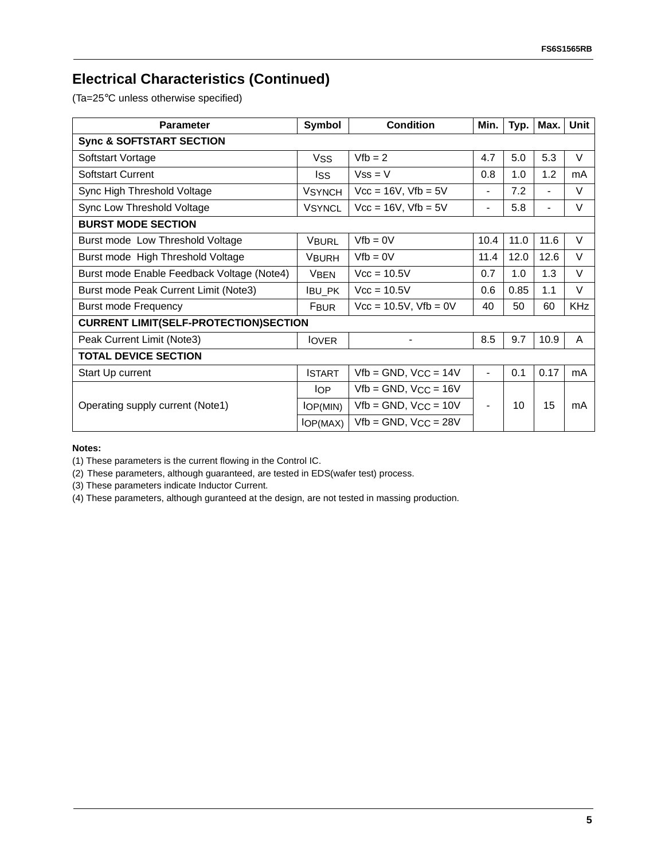## **Electrical Characteristics (Continued)**

(Ta=25°C unless otherwise specified)

| <b>Parameter</b>                             | Symbol                       | <b>Condition</b>             | Min.                           | Typ. | Max.                     | <b>Unit</b> |  |
|----------------------------------------------|------------------------------|------------------------------|--------------------------------|------|--------------------------|-------------|--|
| <b>Sync &amp; SOFTSTART SECTION</b>          |                              |                              |                                |      |                          |             |  |
| Softstart Vortage                            | $Vfb = 2$<br><b>VSS</b>      |                              | 4.7                            | 5.0  | 5.3                      | $\vee$      |  |
| Softstart Current                            | lss                          | $Vss = V$                    | 0.8                            | 1.0  | 1.2                      | mA          |  |
| Sync High Threshold Voltage                  | <b>VSYNCH</b>                | $Vcc = 16V$ , $Vfb = 5V$     |                                | 7.2  | $\blacksquare$           | V           |  |
| Sync Low Threshold Voltage                   | <b>VSYNCL</b>                | $Vcc = 16V$ , $Vfb = 5V$     |                                | 5.8  | $\overline{\phantom{a}}$ | V           |  |
| <b>BURST MODE SECTION</b>                    |                              |                              |                                |      |                          |             |  |
| Burst mode Low Threshold Voltage             | <b>VBURL</b>                 | $Vfb = 0V$                   |                                | 11.0 | 11.6                     | $\vee$      |  |
| Burst mode High Threshold Voltage            | <b>VBURH</b>                 | $Vfb = 0V$                   | 11.4                           | 12.0 | 12.6                     | $\vee$      |  |
| Burst mode Enable Feedback Voltage (Note4)   | $Vcc = 10.5V$<br><b>VBEN</b> |                              | 0.7                            | 1.0  | 1.3                      | $\vee$      |  |
| Burst mode Peak Current Limit (Note3)        | $Vcc = 10.5V$<br>IBU_PK      |                              | 0.6                            | 0.85 | 1.1                      | $\vee$      |  |
| <b>Burst mode Frequency</b><br><b>FBUR</b>   |                              | $Vec = 10.5V$ , $Vfb = 0V$   | 40                             | 50   | 60                       | <b>KHz</b>  |  |
| <b>CURRENT LIMIT(SELF-PROTECTION)SECTION</b> |                              |                              |                                |      |                          |             |  |
| Peak Current Limit (Note3)                   | <b>IOVER</b>                 | $\overline{\phantom{0}}$     | 8.5                            | 9.7  | 10.9                     | A           |  |
| <b>TOTAL DEVICE SECTION</b>                  |                              |                              |                                |      |                          |             |  |
| Start Up current                             | <b>ISTART</b>                | $Vfb = GND$ , $VCC = 14V$    | $\overline{\phantom{0}}$       | 0.1  | 0.17                     | mA          |  |
|                                              | lOP.                         | $Vfb = GND$ , $VCC = 16V$    |                                |      |                          |             |  |
| Operating supply current (Note1)             | IOP(MIN)                     | $Vfb = GND$ , $VCC = 10V$    | 10<br>$\overline{\phantom{a}}$ |      | 15                       | mA          |  |
|                                              | IOP(MAX)                     | $Vfb = GND$ , $V_{CC} = 28V$ |                                |      |                          |             |  |

**Notes:**

(1) These parameters is the current flowing in the Control IC.

(2) These parameters, although guaranteed, are tested in EDS(wafer test) process.

(3) These parameters indicate Inductor Current.

(4) These parameters, although guranteed at the design, are not tested in massing production.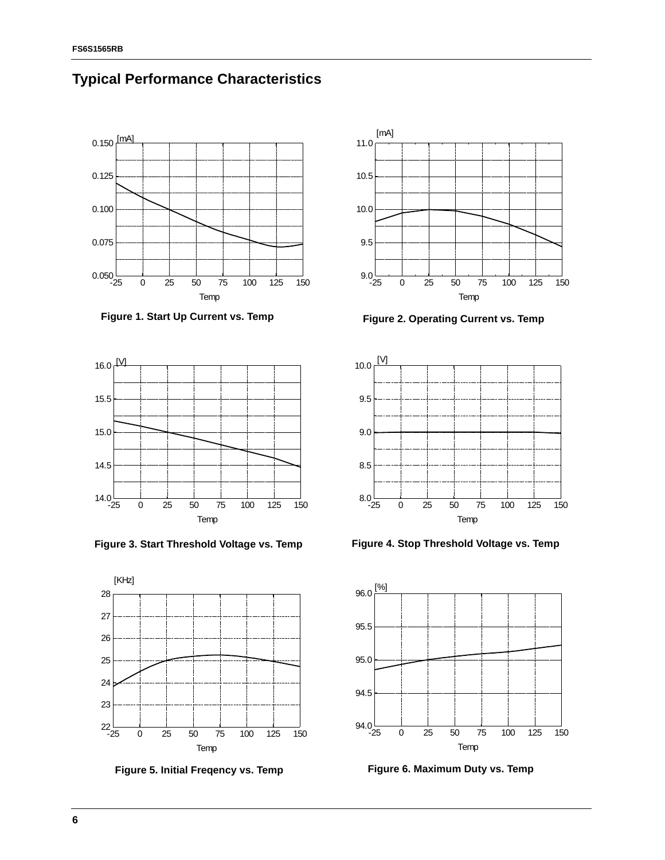

#### **Typical Performance Characteristics**









**Figure 1. Start Up Current vs. Temp Figure 2. Operating Current vs. Temp**



**Figure 3. Start Threshold Voltage vs. Temp Figure 4. Stop Threshold Voltage vs. Temp**



**Figure 5. Initial Freqency vs. Temp Figure 6. Maximum Duty vs. Temp**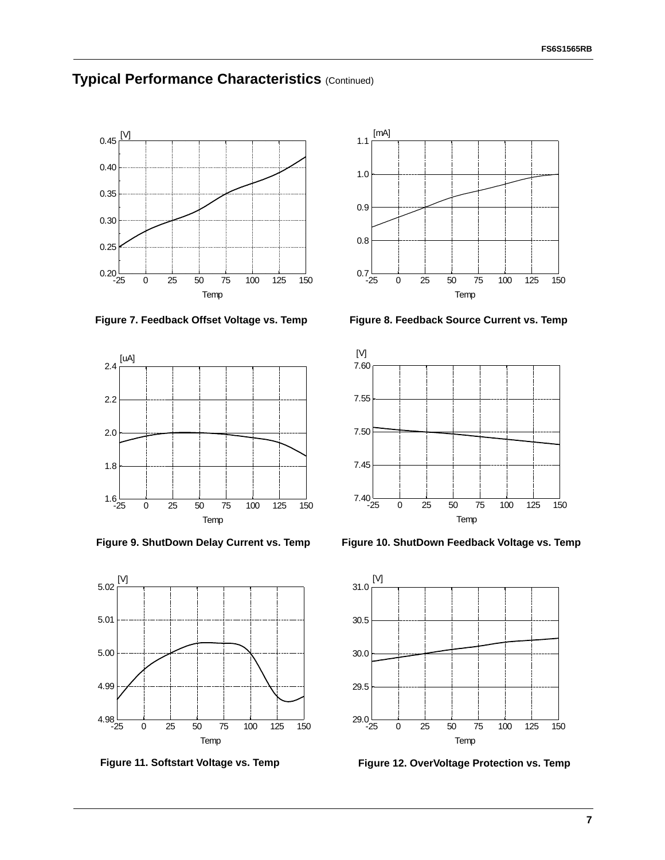### **Typical Performance Characteristics** (Continued)









**Figure 7. Feedback Offset Voltage vs. Temp Figure 8. Feedback Source Current vs. Temp**



**Figure 9. ShutDown Delay Current vs. Temp Figure 10. ShutDown Feedback Voltage vs. Temp**



**Figure 11. Softstart Voltage vs. Temp Figure 12. OverVoltage Protection vs. Temp**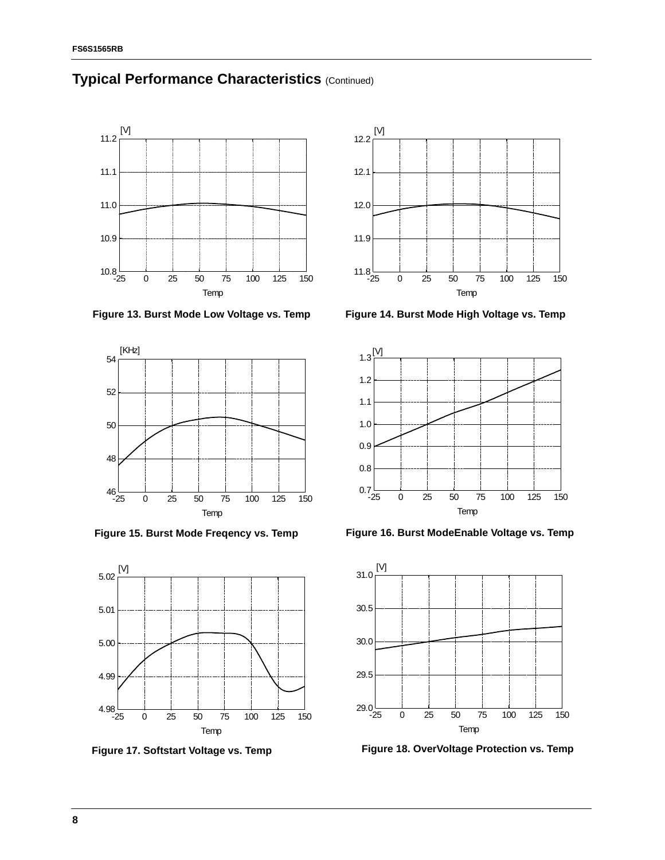

#### **Typical Performance Characteristics** (Continued)











**Figure 15. Burst Mode Freqency vs. Temp Figure 16. Burst ModeEnable Voltage vs. Temp**



**Figure 17. Softstart Voltage vs. Temp Figure 18. OverVoltage Protection vs. Temp**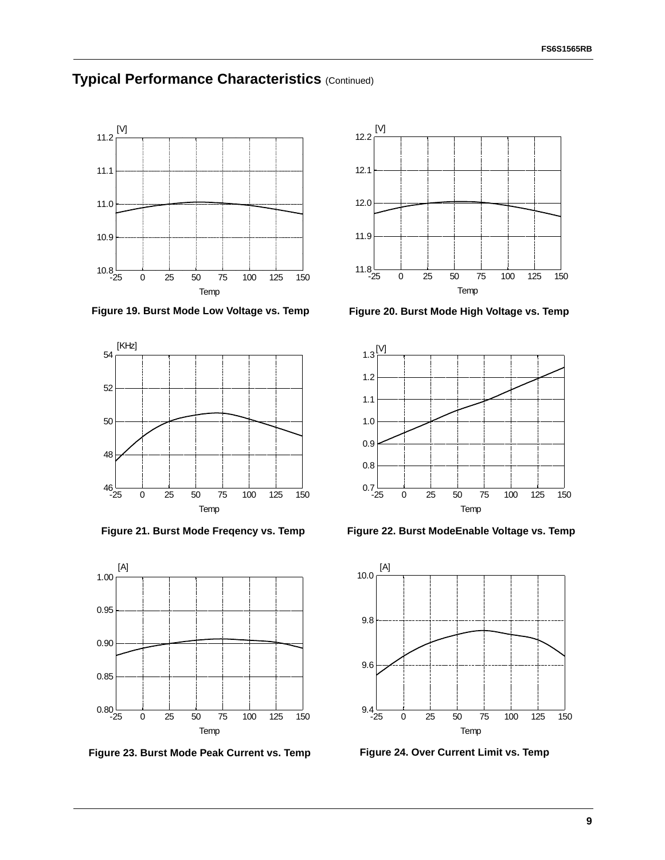#### **Typical Performance Characteristics** (Continued)



**Figure 19. Burst Mode Low Voltage vs. Temp Figure 20. Burst Mode High Voltage vs. Temp**





**Figure 23. Burst Mode Peak Current vs. Temp Figure 24. Over Current Limit vs. Temp**





Figure 21. Burst Mode Freqency vs. Temp Figure 22. Burst ModeEnable Voltage vs. Temp

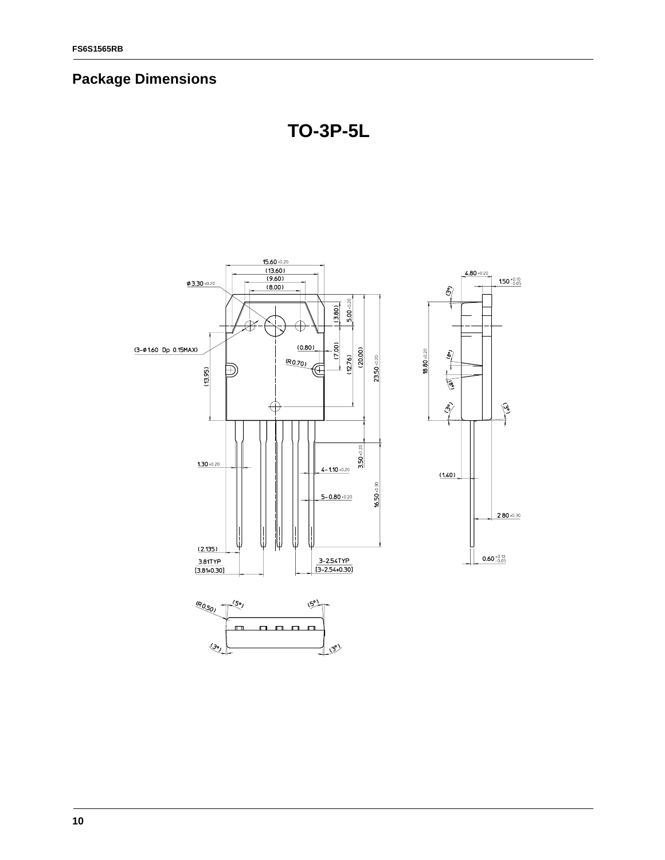# **Package Dimensions**



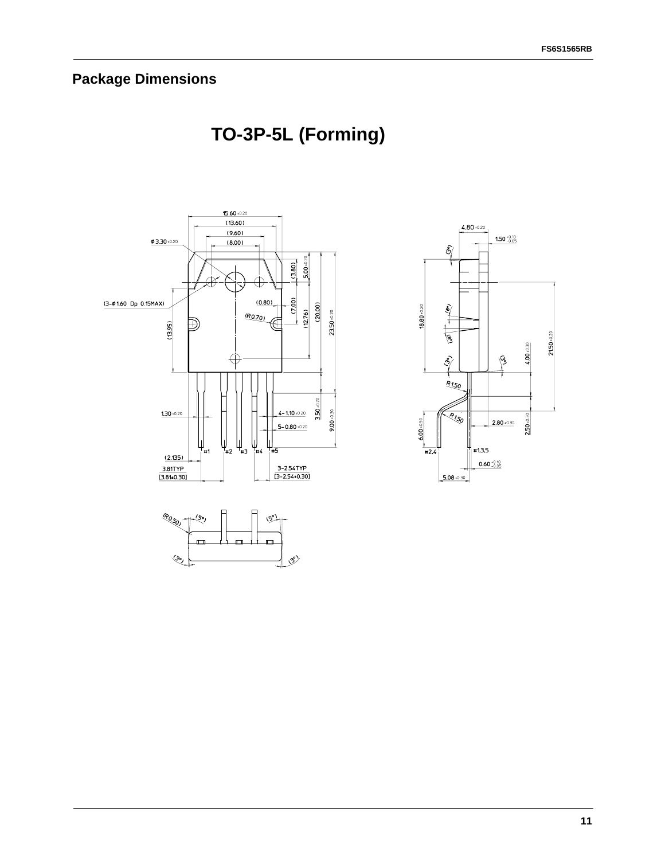# **Package Dimensions**

# **TO-3P-5L (Forming)**

 $\langle \mathcal{S} \rangle$ 



 $\overline{\mathcal{L}}$